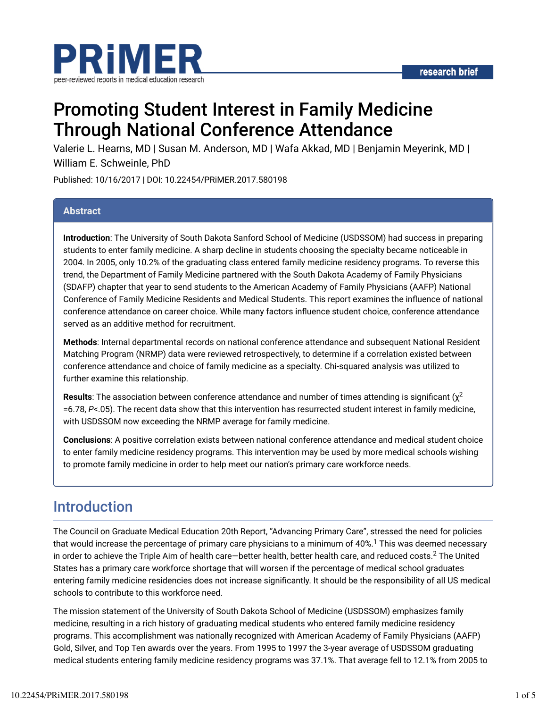

# Promoting Student Interest in Family Medicine Through National Conference Attendance

Valerie L. Hearns, MD | Susan M. Anderson, MD | Wafa Akkad, MD | Benjamin Meyerink, MD | William E. Schweinle, PhD

Published: 10/16/2017 | DOI: 10.22454/PRiMER.2017.580198

### **Abstract**

**Introduction**: The University of South Dakota Sanford School of Medicine (USDSSOM) had success in preparing students to enter family medicine. A sharp decline in students choosing the specialty became noticeable in 2004. In 2005, only 10.2% of the graduating class entered family medicine residency programs. To reverse this trend, the Department of Family Medicine partnered with the South Dakota Academy of Family Physicians (SDAFP) chapter that year to send students to the American Academy of Family Physicians (AAFP) National Conference of Family Medicine Residents and Medical Students. This report examines the influence of national conference attendance on career choice. While many factors influence student choice, conference attendance served as an additive method for recruitment.

**Methods**: Internal departmental records on national conference attendance and subsequent National Resident Matching Program (NRMP) data were reviewed retrospectively, to determine if a correlation existed between conference attendance and choice of family medicine as a specialty. Chi-squared analysis was utilized to further examine this relationship.

**Results**: The association between conference attendance and number of times attending is significant ( $\chi^2$ =6.78, *P*<.05). The recent data show that this intervention has resurrected student interest in family medicine, with USDSSOM now exceeding the NRMP average for family medicine.

**Conclusions**: A positive correlation exists between national conference attendance and medical student choice to enter family medicine residency programs. This intervention may be used by more medical schools wishing to promote family medicine in order to help meet our nation's primary care workforce needs.

## Introduction

The Council on Graduate Medical Education 20th Report, "Advancing Primary Care", stressed the need for policies that would increase the percentage of primary care physicians to a minimum of 40%. $^1$  This was deemed necessary in order to achieve the Triple Aim of health care—better health, better health care, and reduced costs. $^2$  The United States has a primary care workforce shortage that will worsen if the percentage of medical school graduates entering family medicine residencies does not increase significantly. It should be the responsibility of all US medical schools to contribute to this workforce need.

The mission statement of the University of South Dakota School of Medicine (USDSSOM) emphasizes family medicine, resulting in a rich history of graduating medical students who entered family medicine residency programs. This accomplishment was nationally recognized with American Academy of Family Physicians (AAFP) Gold, Silver, and Top Ten awards over the years. From 1995 to 1997 the 3-year average of USDSSOM graduating medical students entering family medicine residency programs was 37.1%. That average fell to 12.1% from 2005 to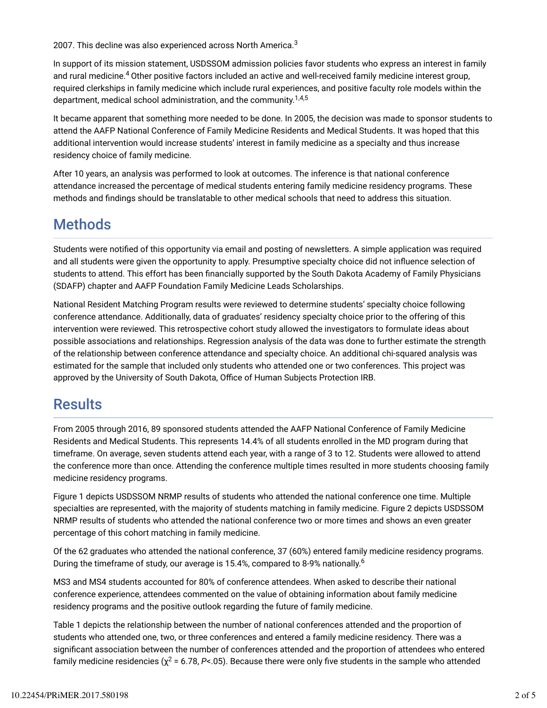2007. This decline was also experienced across North America. $^3$ 

In support of its mission statement, USDSSOM admission policies favor students who express an interest in family and rural medicine.<sup>4</sup> Other positive factors included an active and well-received family medicine interest group, required clerkships in family medicine which include rural experiences, and positive faculty role models within the department, medical school administration, and the community.<sup>1,4,5</sup>

It became apparent that something more needed to be done. In 2005, the decision was made to sponsor students to attend the AAFP National Conference of Family Medicine Residents and Medical Students. It was hoped that this additional intervention would increase students' interest in family medicine as a specialty and thus increase residency choice of family medicine.

After 10 years, an analysis was performed to look at outcomes. The inference is that national conference attendance increased the percentage of medical students entering family medicine residency programs. These methods and findings should be translatable to other medical schools that need to address this situation.

## Methods

Students were notified of this opportunity via email and posting of newsletters. A simple application was required and all students were given the opportunity to apply. Presumptive specialty choice did not influence selection of students to attend. This effort has been financially supported by the South Dakota Academy of Family Physicians (SDAFP) chapter and AAFP Foundation Family Medicine Leads Scholarships.

National Resident Matching Program results were reviewed to determine students' specialty choice following conference attendance. Additionally, data of graduates' residency specialty choice prior to the offering of this intervention were reviewed. This retrospective cohort study allowed the investigators to formulate ideas about possible associations and relationships. Regression analysis of the data was done to further estimate the strength of the relationship between conference attendance and specialty choice. An additional chi-squared analysis was estimated for the sample that included only students who attended one or two conferences. This project was approved by the University of South Dakota, Office of Human Subjects Protection IRB.

## **Results**

From 2005 through 2016, 89 sponsored students attended the AAFP National Conference of Family Medicine Residents and Medical Students. This represents 14.4% of all students enrolled in the MD program during that timeframe. On average, seven students attend each year, with a range of 3 to 12. Students were allowed to attend the conference more than once. Attending the conference multiple times resulted in more students choosing family medicine residency programs.

Figure 1 depicts USDSSOM NRMP results of students who attended the national conference one time. Multiple specialties are represented, with the majority of students matching in family medicine. Figure 2 depicts USDSSOM NRMP results of students who attended the national conference two or more times and shows an even greater percentage of this cohort matching in family medicine.

Of the 62 graduates who attended the national conference, 37 (60%) entered family medicine residency programs. During the timeframe of study, our average is 15.4%, compared to 8-9% nationally. $^6$ 

MS3 and MS4 students accounted for 80% of conference attendees. When asked to describe their national conference experience, attendees commented on the value of obtaining information about family medicine residency programs and the positive outlook regarding the future of family medicine.

Table 1 depicts the relationship between the number of national conferences attended and the proportion of students who attended one, two, or three conferences and entered a family medicine residency. There was a significant association between the number of conferences attended and the proportion of attendees who entered family medicine residencies ( $\chi^2$  = 6.78, P<.05). Because there were only five students in the sample who attended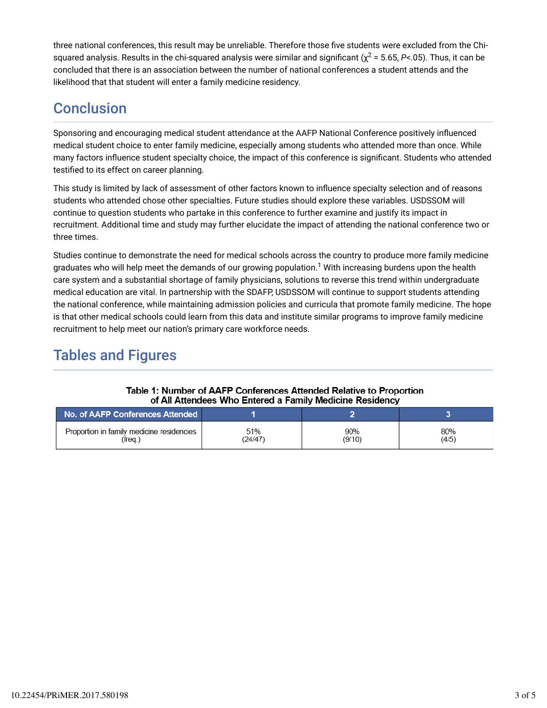three national conferences, this result may be unreliable. Therefore those five students were excluded from the Chisquared analysis. Results in the chi-squared analysis were similar and significant ( $\chi^2$  = 5.65, P<.05). Thus, it can be concluded that there is an association between the number of national conferences a student attends and the likelihood that that student will enter a family medicine residency.

## **Conclusion**

Sponsoring and encouraging medical student attendance at the AAFP National Conference positively influenced medical student choice to enter family medicine, especially among students who attended more than once. While many factors influence student specialty choice, the impact of this conference is significant. Students who attended testified to its effect on career planning.

This study is limited by lack of assessment of other factors known to influence specialty selection and of reasons students who attended chose other specialties. Future studies should explore these variables. USDSSOM will continue to question students who partake in this conference to further examine and justify its impact in recruitment. Additional time and study may further elucidate the impact of attending the national conference two or three times.

Studies continue to demonstrate the need for medical schools across the country to produce more family medicine graduates who will help meet the demands of our growing population. $^1$  With increasing burdens upon the health care system and a substantial shortage of family physicians, solutions to reverse this trend within undergraduate medical education are vital. In partnership with the SDAFP, USDSSOM will continue to support students attending the national conference, while maintaining admission policies and curricula that promote family medicine. The hope is that other medical schools could learn from this data and institute similar programs to improve family medicine recruitment to help meet our nation's primary care workforce needs.

## Tables and Figures

| of the thousand on the million of a training integration recordering |                |               |              |
|----------------------------------------------------------------------|----------------|---------------|--------------|
| No. of AAFP Conferences Attended                                     |                |               |              |
| Proportion in family medicine residencies<br>$(freq.)$               | 51%<br>(24/47) | 90%<br>(9/10) | 80%<br>(4/5) |

#### Table 1: Number of AAFP Conferences Attended Relative to Proportion of All Attendees Who Entered a Family Medicine Residency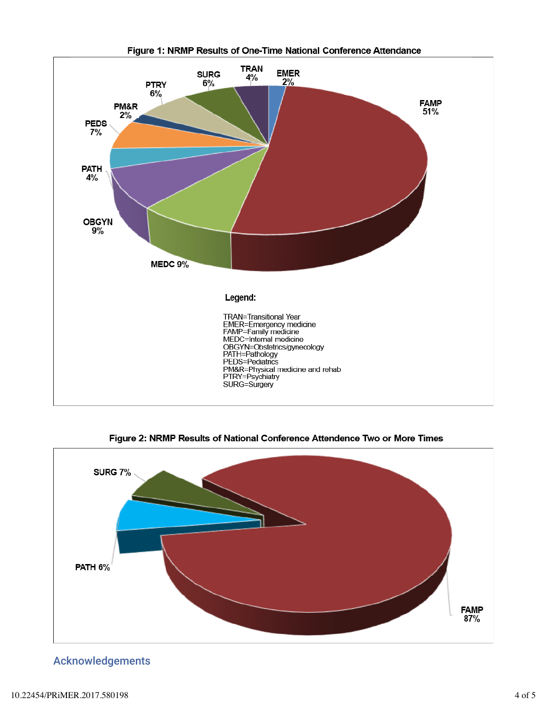

Figure 1: NRMP Results of One-Time National Conference Attendance

Figure 2: NRMP Results of National Conference Attendence Two or More Times



Acknowledgements